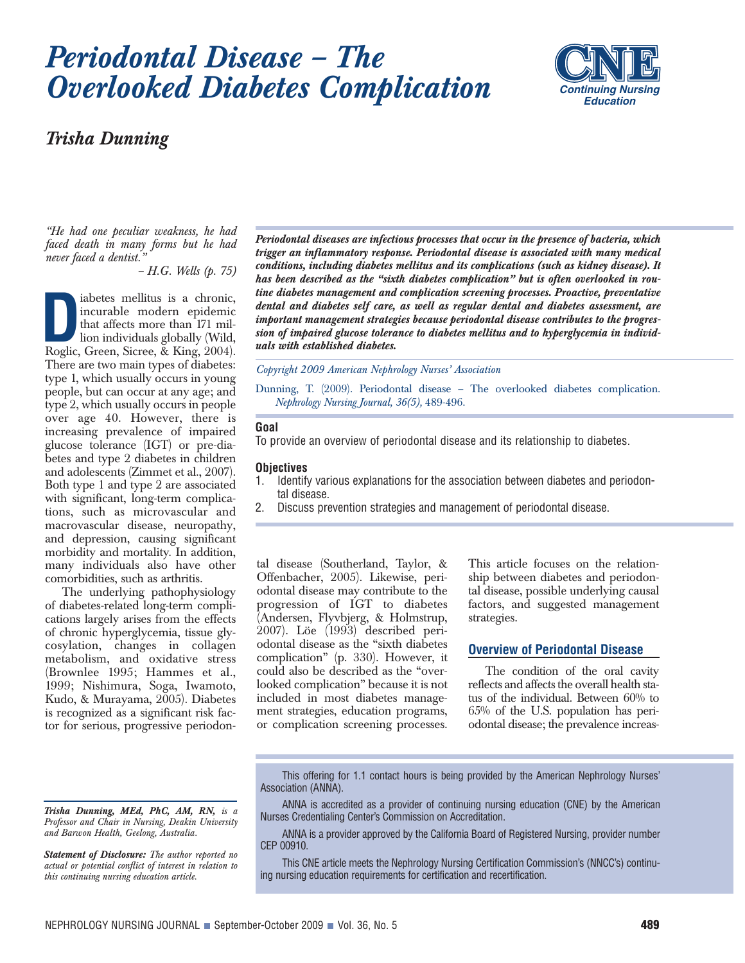# *Periodontal Disease – The Overlooked Diabetes Complication*



### *Trisha Dunning*

*"He had one peculiar weakness, he had faced death in many forms but he had never faced a dentist."*

*– H.G. Wells (p. 75)* 

**DESERVANCE IN A SERVIDE SERVIDE IN A SERVIDE IN THE INCREDITION INCOLLED IN THE INCOLLENCE IS NOT THE ISLAM ROBER CORPORT IS NOT THE ISLAM ROBER CONTINUES. ROBERT AND ROBERT ISLAM ROBERT ISLAM ROBERT AND ROBERT AND ROBERT** iabetes mellitus is a chronic, incurable modern epidemic that affects more than 171 million individuals globally (Wild, There are two main types of diabetes: type 1, which usually occurs in young people, but can occur at any age; and type 2, which usually occurs in people over age 40. However, there is increasing prevalence of impaired glucose tolerance (IGT) or pre-diabetes and type 2 diabetes in children and adolescents (Zimmet et al., 2007). Both type 1 and type 2 are associated with significant, long-term complications, such as microvascular and macrovascular disease, neuropathy, and depression, causing significant morbidity and mortality. In addition, many individuals also have other comorbidities, such as arthritis.

The underlying pathophysiology of diabetes-related long-term complications largely arises from the effects of chronic hyperglycemia, tissue glycosylation, changes in collagen metabolism, and oxidative stress (Brownlee 1995; Hammes et al., 1999; Nishimura, Soga, Iwamoto, Kudo, & Murayama, 2005). Diabetes is recognized as a significant risk factor for serious, progressive periodon-

*Trisha Dunning, MEd, PhC, AM, RN, is a Professor and Chair in Nursing, Deakin University and Barwon Health, Geelong, Australia.*

*Statement of Disclosure: The author reported no actual or potential conflict of interest in relation to this continuing nursing education article.*

*Periodontal diseases are infectious processes that occur in the presence of bacteria, which trigger an inflammatory response. Periodontal disease is associated with many medical conditions, including diabetes mellitus and its complications (such as kidney disease). It has been described as the "sixth diabetes complication" but is often overlooked in routine diabetes management and complication screening processes. Proactive, preventative dental and diabetes self care, as well as regular dental and diabetes assessment, are important management strategies because periodontal disease contributes to the progression of impaired glucose tolerance to diabetes mellitus and to hyperglycemia in individuals with established diabetes.* 

*Copyright 2009 American Nephrology Nurses' Association*

Dunning, T. (2009). Periodontal disease – The overlooked diabetes complication. *Nephrology Nursing Journal, 36(5),* 489-496.

#### **Goal**

To provide an overview of periodontal disease and its relationship to diabetes.

#### **Objectives**

- 1. Identify various explanations for the association between diabetes and periodontal disease.
- 2. Discuss prevention strategies and management of periodontal disease.

tal disease (Southerland, Taylor, & Offenbacher, 2005). Likewise, periodontal disease may contribute to the progression of IGT to diabetes (Andersen, Flyvbjerg, & Holmstrup, 2007). Löe (1993) described periodontal disease as the "sixth diabetes complication" (p. 330). However, it could also be described as the "overlooked complication" because it is not included in most diabetes management strategies, education programs, or complication screening processes. This article focuses on the relationship between diabetes and periodontal disease, possible underlying causal factors, and suggested management strategies.

#### **Overview of Periodontal Disease**

The condition of the oral cavity reflects and affects the overall health status of the individual. Between 60% to 65% of the U.S. population has periodontal disease; the prevalence increas-

This offering for 1.1 contact hours is being provided by the American Nephrology Nurses' Association (ANNA).

ANNA is accredited as a provider of continuing nursing education (CNE) by the American Nurses Credentialing Center's Commission on Accreditation.

ANNA is a provider approved by the California Board of Registered Nursing, provider number CEP 00910.

This CNE article meets the Nephrology Nursing Certification Commission's (NNCC's) continuing nursing education requirements for certification and recertification.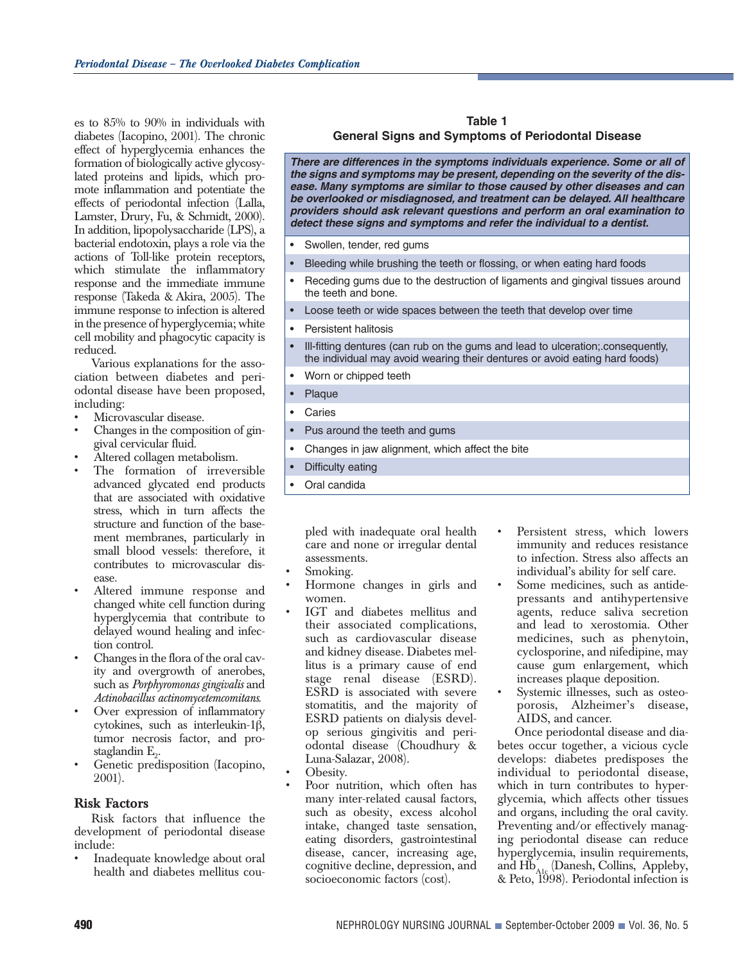es to 85% to 90% in individuals with diabetes (Iacopino, 2001). The chronic effect of hyperglycemia enhances the formation of biologically active glycosylated proteins and lipids, which promote inflammation and potentiate the effects of periodontal infection (Lalla, Lamster, Drury, Fu, & Schmidt, 2000). In addition, lipopolysaccharide (LPS), a bacterial endotoxin, plays a role via the actions of Toll-like protein receptors, which stimulate the inflammatory response and the immediate immune response (Takeda & Akira, 2005). The immune response to infection is altered in the presence of hyperglycemia; white cell mobility and phagocytic capacity is reduced.

Various explanations for the association between diabetes and periodontal disease have been proposed, including:

- Microvascular disease.
- Changes in the composition of gingival cervicular fluid.
- Altered collagen metabolism.
- The formation of irreversible advanced glycated end products that are associated with oxidative stress, which in turn affects the structure and function of the basement membranes, particularly in small blood vessels: therefore, it contributes to microvascular disease.
- Altered immune response and changed white cell function during hyperglycemia that contribute to delayed wound healing and infection control.
- Changes in the flora of the oral cavity and overgrowth of anerobes, such as *Porphyromonas gingivalis* and *Actinobacillus actinomycetemcomitans*.
- Over expression of inflammatory cytokines, such as interleukin-1β, tumor necrosis factor, and prostaglandin  $E_2$ .
- Genetic predisposition (Iacopino, 2001).

#### **Risk Factors**

Risk factors that influence the development of periodontal disease include:

• Inadequate knowledge about oral health and diabetes mellitus cou-

#### **Table 1 General Signs and Symptoms of Periodontal Disease**

**There are differences in the symptoms individuals experience. Some or all of the signs and symptoms may be present, depending on the severity of the disease. Many symptoms are similar to those caused by other diseases and can be overlooked or misdiagnosed, and treatment can be delayed. All healthcare providers should ask relevant questions and perform an oral examination to detect these signs and symptoms and refer the individual to a dentist.**

- Swollen, tender, red gums
- Bleeding while brushing the teeth or flossing, or when eating hard foods
- Receding gums due to the destruction of ligaments and gingival tissues around the teeth and bone.
- Loose teeth or wide spaces between the teeth that develop over time
- Persistent halitosis
- Ill-fitting dentures (can rub on the gums and lead to ulceration; consequently, the individual may avoid wearing their dentures or avoid eating hard foods)
- Worn or chipped teeth
- Plaque
- Caries
- Pus around the teeth and gums
- Changes in jaw alignment, which affect the bite
- Difficulty eating
- Oral candida

pled with inadequate oral health care and none or irregular dental assessments.

- Smoking.
- Hormone changes in girls and women.
- IGT and diabetes mellitus and their associated complications, such as cardiovascular disease and kidney disease. Diabetes mellitus is a primary cause of end stage renal disease (ESRD). ESRD is associated with severe stomatitis, and the majority of ESRD patients on dialysis develop serious gingivitis and periodontal disease (Choudhury & Luna-Salazar, 2008).
- Obesity.
- Poor nutrition, which often has many inter-related causal factors, such as obesity, excess alcohol intake, changed taste sensation, eating disorders, gastrointestinal disease, cancer, increasing age, cognitive decline, depression, and socioeconomic factors (cost).
- Persistent stress, which lowers immunity and reduces resistance to infection. Stress also affects an individual's ability for self care.
- Some medicines, such as antidepressants and antihypertensive agents, reduce saliva secretion and lead to xerostomia. Other medicines, such as phenytoin, cyclosporine, and nifedipine, may cause gum enlargement, which increases plaque deposition.
- Systemic illnesses, such as osteoporosis, Alzheimer's disease, AIDS, and cancer.

Once periodontal disease and diabetes occur together, a vicious cycle develops: diabetes predisposes the individual to periodontal disease, which in turn contributes to hyperglycemia, which affects other tissues and organs, including the oral cavity. Preventing and/or effectively managing periodontal disease can reduce hyperglycemia, insulin requirements, and  $Hb_{A1c}$  (Danesh, Collins, Appleby, & Peto, 1998). Periodontal infection is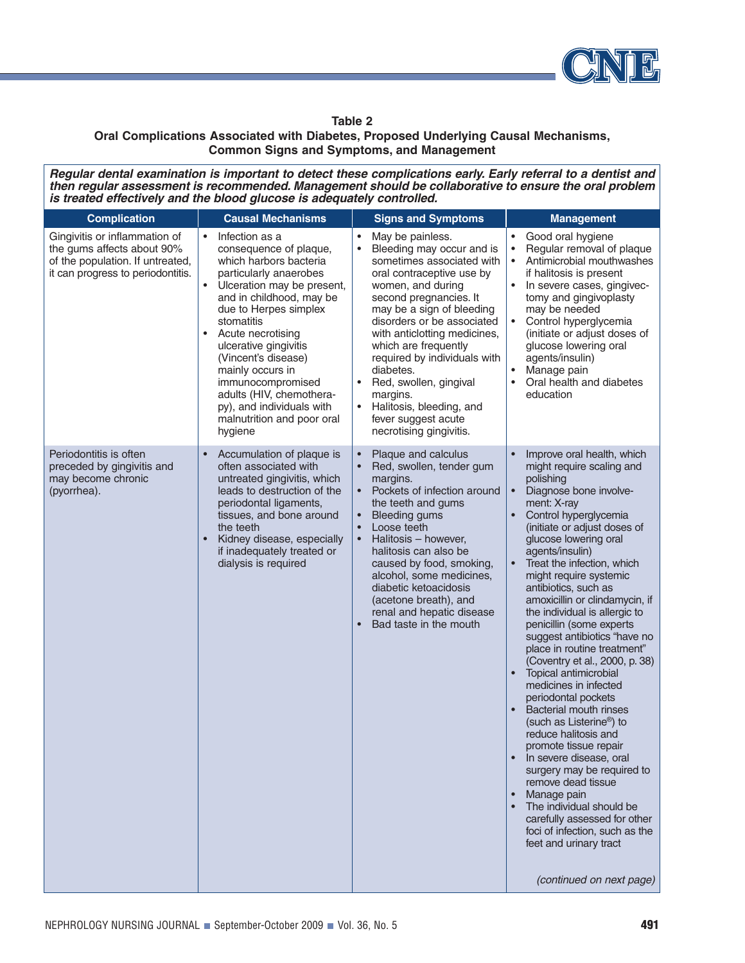

#### **Table 2**

#### **Oral Complications Associated with Diabetes, Proposed Underlying Causal Mechanisms, Common Signs and Symptoms, and Management**

**Regular dental examination is important to detect these complications early. Early referral to a dentist and then regular assessment is recommended. Management should be collaborative to ensure the oral problem is treated effectively and the blood glucose is adequately controlled.**

| Gingivitis or inflammation of<br>Infection as a<br>May be painless.<br>the gums affects about 90%<br>consequence of plaque,<br>Bleeding may occur and is<br>$\bullet$<br>$\bullet$<br>sometimes associated with<br>of the population. If untreated,<br>which harbors bacteria<br>$\bullet$<br>it can progress to periodontitis.<br>particularly anaerobes<br>oral contraceptive use by<br>Ulceration may be present,<br>women, and during<br>and in childhood, may be<br>second pregnancies. It<br>due to Herpes simplex<br>may be a sign of bleeding<br>may be needed<br>stomatitis<br>disorders or be associated<br>Acute necrotising<br>with anticlotting medicines,<br>$\bullet$<br>ulcerative gingivitis<br>which are frequently<br>(Vincent's disease)<br>required by individuals with<br>agents/insulin)<br>mainly occurs in<br>diabetes.<br>Manage pain<br>$\bullet$<br>Red, swollen, gingival<br>immunocompromised<br>$\bullet$<br>education<br>adults (HIV, chemothera-<br>margins.<br>py), and individuals with<br>Halitosis, bleeding, and<br>$\bullet$<br>malnutrition and poor oral<br>fever suggest acute<br>necrotising gingivitis.<br>hygiene<br>Periodontitis is often<br>Accumulation of plaque is<br>Plaque and calculus<br>$\bullet$<br>$\bullet$<br>preceded by gingivitis and<br>often associated with<br>Red, swollen, tender gum<br>$\bullet$<br>may become chronic<br>untreated gingivitis, which<br>margins.<br>polishing<br>Pockets of infection around<br>(pyorrhea).<br>leads to destruction of the<br>$\bullet$<br>$\bullet$<br>ment: X-ray<br>periodontal ligaments,<br>the teeth and gums<br>tissues, and bone around<br><b>Bleeding gums</b><br>$\bullet$<br>the teeth<br>Loose teeth<br>$\bullet$<br>Kidney disease, especially<br>Halitosis - however,<br>$\bullet$<br>if inadequately treated or<br>halitosis can also be<br>agents/insulin)<br>dialysis is required<br>caused by food, smoking,<br>alcohol, some medicines,<br>diabetic ketoacidosis<br>antibiotics, such as<br>(acetone breath), and | <b>Complication</b> | <b>Causal Mechanisms</b> | <b>Signs and Symptoms</b> | <b>Management</b>                                                                                                                                                                                                                                                                                                                                                                                                                                                                                                                                                                                                                                                                                                                                                                                                                                    |
|---------------------------------------------------------------------------------------------------------------------------------------------------------------------------------------------------------------------------------------------------------------------------------------------------------------------------------------------------------------------------------------------------------------------------------------------------------------------------------------------------------------------------------------------------------------------------------------------------------------------------------------------------------------------------------------------------------------------------------------------------------------------------------------------------------------------------------------------------------------------------------------------------------------------------------------------------------------------------------------------------------------------------------------------------------------------------------------------------------------------------------------------------------------------------------------------------------------------------------------------------------------------------------------------------------------------------------------------------------------------------------------------------------------------------------------------------------------------------------------------------------------------------------------------------------------------------------------------------------------------------------------------------------------------------------------------------------------------------------------------------------------------------------------------------------------------------------------------------------------------------------------------------------------------------------------------------------------------------------------------------------------------------------------------|---------------------|--------------------------|---------------------------|------------------------------------------------------------------------------------------------------------------------------------------------------------------------------------------------------------------------------------------------------------------------------------------------------------------------------------------------------------------------------------------------------------------------------------------------------------------------------------------------------------------------------------------------------------------------------------------------------------------------------------------------------------------------------------------------------------------------------------------------------------------------------------------------------------------------------------------------------|
|                                                                                                                                                                                                                                                                                                                                                                                                                                                                                                                                                                                                                                                                                                                                                                                                                                                                                                                                                                                                                                                                                                                                                                                                                                                                                                                                                                                                                                                                                                                                                                                                                                                                                                                                                                                                                                                                                                                                                                                                                                             |                     |                          |                           | Good oral hygiene<br>Regular removal of plaque<br>Antimicrobial mouthwashes<br>if halitosis is present<br>In severe cases, gingivec-<br>tomy and gingivoplasty<br>Control hyperglycemia<br>(initiate or adjust doses of<br>glucose lowering oral<br>Oral health and diabetes                                                                                                                                                                                                                                                                                                                                                                                                                                                                                                                                                                         |
| Bad taste in the mouth<br>$\bullet$<br>Manage pain                                                                                                                                                                                                                                                                                                                                                                                                                                                                                                                                                                                                                                                                                                                                                                                                                                                                                                                                                                                                                                                                                                                                                                                                                                                                                                                                                                                                                                                                                                                                                                                                                                                                                                                                                                                                                                                                                                                                                                                          |                     |                          | renal and hepatic disease | Improve oral health, which<br>might require scaling and<br>Diagnose bone involve-<br>Control hyperglycemia<br>(initiate or adjust doses of<br>glucose lowering oral<br>Treat the infection, which<br>might require systemic<br>amoxicillin or clindamycin, if<br>the individual is allergic to<br>penicillin (some experts<br>suggest antibiotics "have no<br>place in routine treatment"<br>(Coventry et al., 2000, p. 38)<br>Topical antimicrobial<br>medicines in infected<br>periodontal pockets<br><b>Bacterial mouth rinses</b><br>(such as Listerine®) to<br>reduce halitosis and<br>promote tissue repair<br>In severe disease, oral<br>surgery may be required to<br>remove dead tissue<br>The individual should be<br>carefully assessed for other<br>foci of infection, such as the<br>feet and urinary tract<br>(continued on next page) |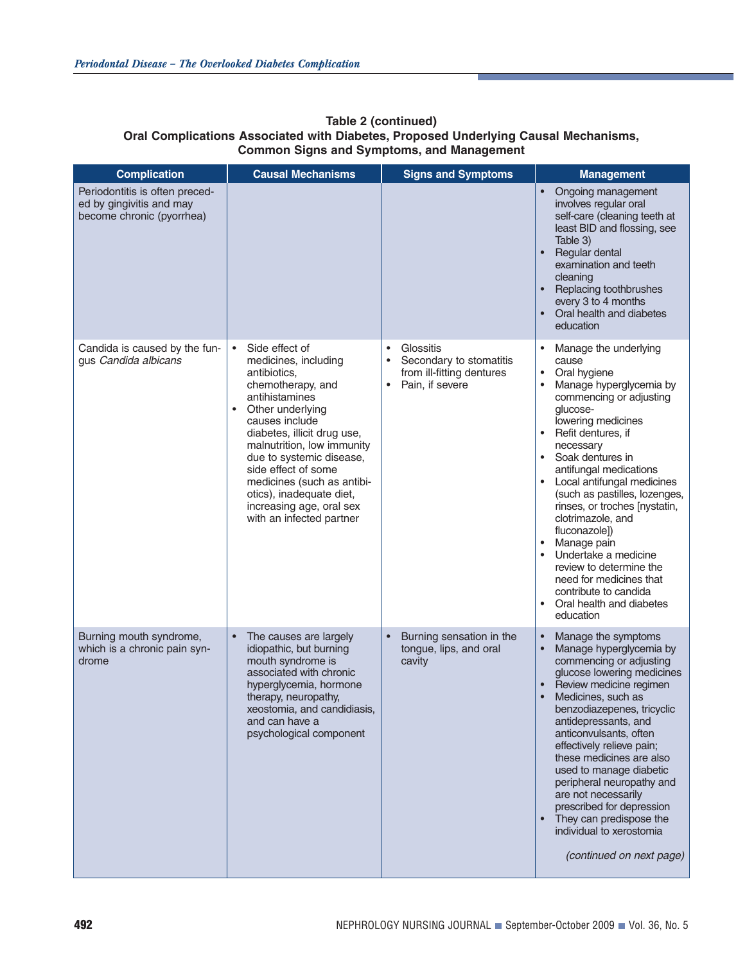| <b>Complication</b>                                                                     | <b>Causal Mechanisms</b>                                                                                                                                                                                                                                                                                                                                                                        | <b>Signs and Symptoms</b>                                                                                      | <b>Management</b>                                                                                                                                                                                                                                                                                                                                                                                                                                                                                                                                      |
|-----------------------------------------------------------------------------------------|-------------------------------------------------------------------------------------------------------------------------------------------------------------------------------------------------------------------------------------------------------------------------------------------------------------------------------------------------------------------------------------------------|----------------------------------------------------------------------------------------------------------------|--------------------------------------------------------------------------------------------------------------------------------------------------------------------------------------------------------------------------------------------------------------------------------------------------------------------------------------------------------------------------------------------------------------------------------------------------------------------------------------------------------------------------------------------------------|
| Periodontitis is often preced-<br>ed by gingivitis and may<br>become chronic (pyorrhea) |                                                                                                                                                                                                                                                                                                                                                                                                 |                                                                                                                | Ongoing management<br>$\bullet$<br>involves regular oral<br>self-care (cleaning teeth at<br>least BID and flossing, see<br>Table 3)<br>Regular dental<br>examination and teeth<br>cleaning<br>Replacing toothbrushes<br>every 3 to 4 months<br>Oral health and diabetes<br>education                                                                                                                                                                                                                                                                   |
| Candida is caused by the fun-<br>gus Candida albicans                                   | Side effect of<br>$\bullet$<br>medicines, including<br>antibiotics,<br>chemotherapy, and<br>antihistamines<br>$\bullet$<br>Other underlying<br>causes include<br>diabetes, illicit drug use,<br>malnutrition, low immunity<br>due to systemic disease,<br>side effect of some<br>medicines (such as antibi-<br>otics), inadequate diet,<br>increasing age, oral sex<br>with an infected partner | Glossitis<br>$\bullet$<br>Secondary to stomatitis<br>from ill-fitting dentures<br>Pain, if severe<br>$\bullet$ | Manage the underlying<br>cause<br>Oral hygiene<br>$\bullet$<br>Manage hyperglycemia by<br>commencing or adjusting<br>glucose-<br>lowering medicines<br>Refit dentures, if<br>necessary<br>Soak dentures in<br>antifungal medications<br>Local antifungal medicines<br>$\bullet$<br>(such as pastilles, lozenges,<br>rinses, or troches [nystatin,<br>clotrimazole, and<br>fluconazole])<br>Manage pain<br>Undertake a medicine<br>review to determine the<br>need for medicines that<br>contribute to candida<br>Oral health and diabetes<br>education |
| Burning mouth syndrome,<br>which is a chronic pain syn-<br>drome                        | $\bullet$<br>The causes are largely<br>idiopathic, but burning<br>mouth syndrome is<br>associated with chronic<br>hyperglycemia, hormone<br>therapy, neuropathy,<br>xeostomia, and candidiasis,<br>and can have a<br>psychological component                                                                                                                                                    | Burning sensation in the<br>$\bullet$<br>tongue, lips, and oral<br>cavity                                      | Manage the symptoms<br>Manage hyperglycemia by<br>commencing or adjusting<br>glucose lowering medicines<br>Review medicine regimen<br>Medicines, such as<br>benzodiazepenes, tricyclic<br>antidepressants, and<br>anticonvulsants, often<br>effectively relieve pain;<br>these medicines are also<br>used to manage diabetic<br>peripheral neuropathy and<br>are not necessarily<br>prescribed for depression<br>They can predispose the<br>individual to xerostomia<br>(continued on next page)                                                       |

#### **Table 2 (continued) Oral Complications Associated with Diabetes, Proposed Underlying Causal Mechanisms, Common Signs and Symptoms, and Management**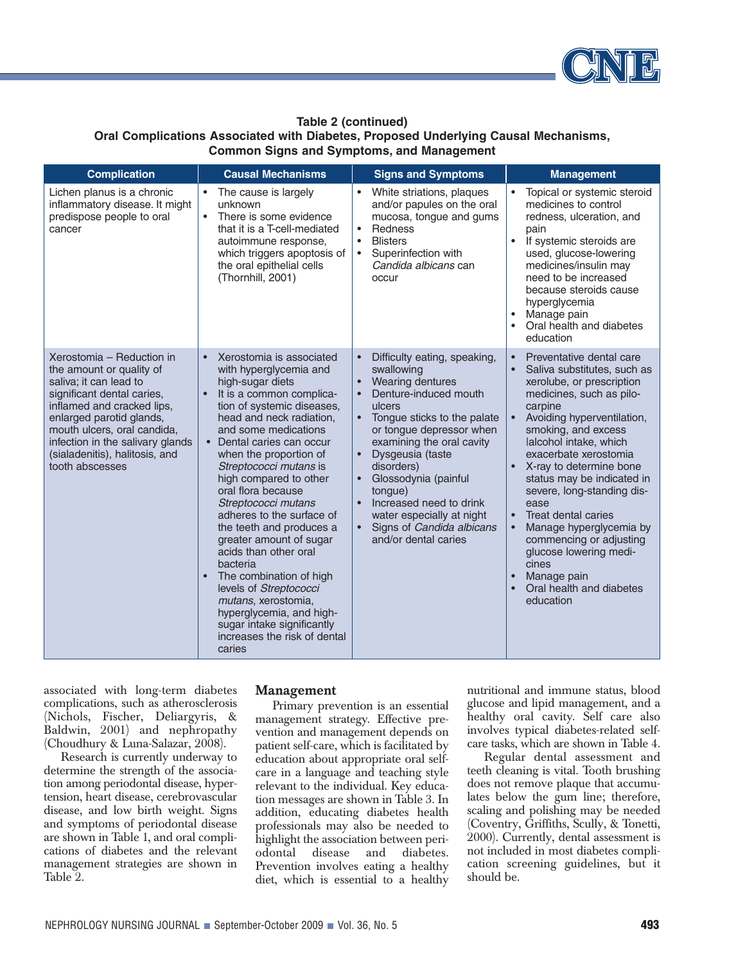

#### **Table 2 (continued) Oral Complications Associated with Diabetes, Proposed Underlying Causal Mechanisms, Common Signs and Symptoms, and Management**

| <b>Complication</b>                                                                                                                                                                                                                                                                             | <b>Causal Mechanisms</b>                                                                                                                                                                                                                                                                                                                                                                                                                                                                                                                                                                                                                                                          | <b>Signs and Symptoms</b>                                                                                                                                                                                                                                                                                                                                                                                                                                                           | <b>Management</b>                                                                                                                                                                                                                                                                                                                                                                                                                                                                                                       |
|-------------------------------------------------------------------------------------------------------------------------------------------------------------------------------------------------------------------------------------------------------------------------------------------------|-----------------------------------------------------------------------------------------------------------------------------------------------------------------------------------------------------------------------------------------------------------------------------------------------------------------------------------------------------------------------------------------------------------------------------------------------------------------------------------------------------------------------------------------------------------------------------------------------------------------------------------------------------------------------------------|-------------------------------------------------------------------------------------------------------------------------------------------------------------------------------------------------------------------------------------------------------------------------------------------------------------------------------------------------------------------------------------------------------------------------------------------------------------------------------------|-------------------------------------------------------------------------------------------------------------------------------------------------------------------------------------------------------------------------------------------------------------------------------------------------------------------------------------------------------------------------------------------------------------------------------------------------------------------------------------------------------------------------|
| Lichen planus is a chronic<br>inflammatory disease. It might<br>predispose people to oral<br>cancer                                                                                                                                                                                             | • The cause is largely<br>unknown<br>There is some evidence<br>$\bullet$<br>that it is a T-cell-mediated<br>autoimmune response,<br>which triggers apoptosis of<br>the oral epithelial cells<br>(Thornhill, 2001)                                                                                                                                                                                                                                                                                                                                                                                                                                                                 | White striations, plaques<br>$\bullet$<br>and/or papules on the oral<br>mucosa, tongue and gums<br>Redness<br>$\bullet$<br><b>Blisters</b><br>$\bullet$<br>Superinfection with<br>$\bullet$<br>Candida albicans can<br>occur                                                                                                                                                                                                                                                        | Topical or systemic steroid<br>medicines to control<br>redness, ulceration, and<br>pain<br>If systemic steroids are<br>$\bullet$<br>used, glucose-lowering<br>medicines/insulin may<br>need to be increased<br>because steroids cause<br>hyperglycemia<br>Manage pain<br>Oral health and diabetes<br>education                                                                                                                                                                                                          |
| Xerostomia - Reduction in<br>the amount or quality of<br>saliva; it can lead to<br>significant dental caries,<br>inflamed and cracked lips.<br>enlarged parotid glands,<br>mouth ulcers, oral candida,<br>infection in the salivary glands<br>(sialadenitis), halitosis, and<br>tooth abscesses | Xerostomia is associated<br>$\bullet$<br>with hyperglycemia and<br>high-sugar diets<br>$\bullet$<br>It is a common complica-<br>tion of systemic diseases,<br>head and neck radiation,<br>and some medications<br>• Dental caries can occur<br>when the proportion of<br>Streptococci mutans is<br>high compared to other<br>oral flora because<br>Streptococci mutans<br>adheres to the surface of<br>the teeth and produces a<br>greater amount of sugar<br>acids than other oral<br>bacteria<br>• The combination of high<br>levels of Streptococci<br>mutans, xerostomia,<br>hyperglycemia, and high-<br>sugar intake significantly<br>increases the risk of dental<br>caries | Difficulty eating, speaking,<br>$\bullet$<br>swallowing<br>Wearing dentures<br>$\bullet$<br>Denture-induced mouth<br>$\bullet$<br>ulcers<br>Tongue sticks to the palate<br>$\bullet$<br>or tongue depressor when<br>examining the oral cavity<br>Dysgeusia (taste<br>$\bullet$<br>disorders)<br>Glossodynia (painful<br>$\bullet$<br>tonque)<br>Increased need to drink<br>$\bullet$<br>water especially at night<br>Signs of Candida albicans<br>$\bullet$<br>and/or dental caries | Preventative dental care<br>Saliva substitutes, such as<br>xerolube, or prescription<br>medicines, such as pilo-<br>carpine<br>Avoiding hyperventilation,<br>smoking, and excess<br>lalcohol intake, which<br>exacerbate xerostomia<br>X-ray to determine bone<br>status may be indicated in<br>severe, long-standing dis-<br>ease<br>Treat dental caries<br>$\bullet$<br>Manage hyperglycemia by<br>commencing or adjusting<br>glucose lowering medi-<br>cines<br>Manage pain<br>Oral health and diabetes<br>education |

associated with long-term diabetes complications, such as atherosclerosis (Nichols, Fischer, Deliargyris, & Baldwin, 2001) and nephropathy (Choudhury & Luna-Salazar, 2008).

Research is currently underway to determine the strength of the association among periodontal disease, hypertension, heart disease, cerebrovascular disease, and low birth weight. Signs and symptoms of periodontal disease are shown in Table 1, and oral complications of diabetes and the relevant management strategies are shown in Table 2.

#### **Management**

Primary prevention is an essential management strategy. Effective prevention and management depends on patient self-care, which is facilitated by education about appropriate oral selfcare in a language and teaching style relevant to the individual. Key education messages are shown in Table 3. In addition, educating diabetes health professionals may also be needed to highlight the association between periodontal disease and diabetes. Prevention involves eating a healthy diet, which is essential to a healthy

nutritional and immune status, blood glucose and lipid management, and a healthy oral cavity. Self care also involves typical diabetes-related selfcare tasks, which are shown in Table 4.

Regular dental assessment and teeth cleaning is vital. Tooth brushing does not remove plaque that accumulates below the gum line; therefore, scaling and polishing may be needed (Coventry, Griffiths, Scully, & Tonetti, 2000). Currently, dental assessment is not included in most diabetes complication screening guidelines, but it should be.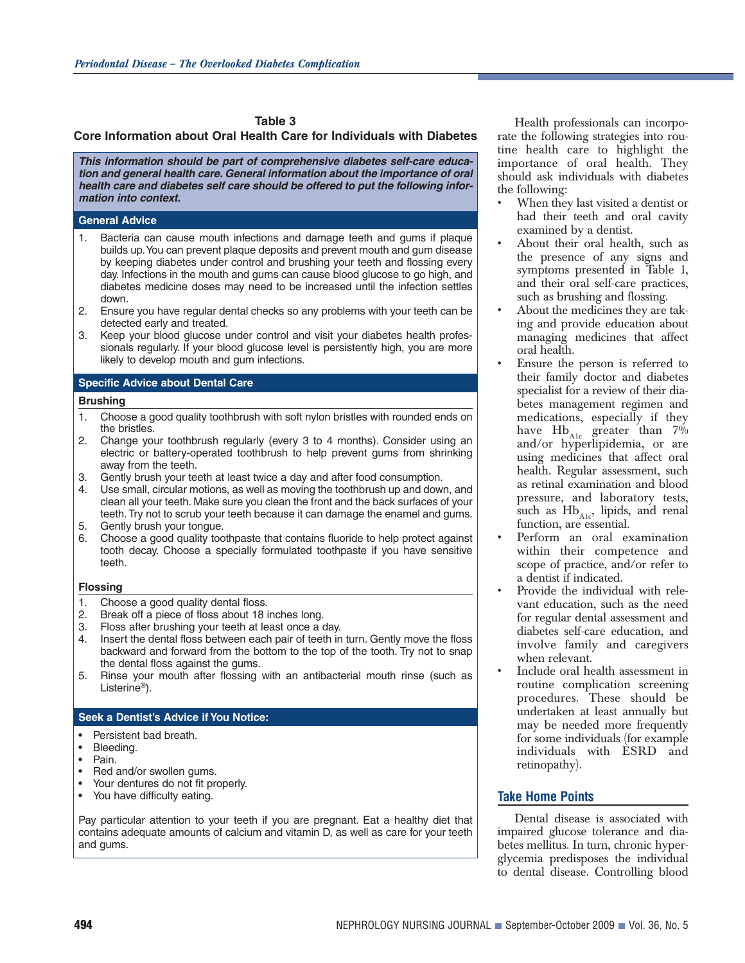#### **Table 3**

#### **Core Information about Oral Health Care for Individuals with Diabetes**

**This information should be part of comprehensive diabetes self-care education and general health care. General information about the importance of oral health care and diabetes self care should be offered to put the following information into context.**

#### **General Advice**

- 1. Bacteria can cause mouth infections and damage teeth and gums if plaque builds up.You can prevent plaque deposits and prevent mouth and gum disease by keeping diabetes under control and brushing your teeth and flossing every day. Infections in the mouth and gums can cause blood glucose to go high, and diabetes medicine doses may need to be increased until the infection settles down.
- 2. Ensure you have regular dental checks so any problems with your teeth can be detected early and treated.
- 3. Keep your blood glucose under control and visit your diabetes health professionals regularly. If your blood glucose level is persistently high, you are more likely to develop mouth and gum infections.

#### **Specific Advice about Dental Care**

#### **Brushing**

- 1. Choose a good quality toothbrush with soft nylon bristles with rounded ends on the bristles.
- 2. Change your toothbrush regularly (every 3 to 4 months). Consider using an electric or battery-operated toothbrush to help prevent gums from shrinking away from the teeth.
- Gently brush your teeth at least twice a day and after food consumption.
- 4. Use small, circular motions, as well as moving the toothbrush up and down, and clean all your teeth. Make sure you clean the front and the back surfaces of your teeth.Try not to scrub your teeth because it can damage the enamel and gums.
- 5. Gently brush your tongue.
- 6. Choose a good quality toothpaste that contains fluoride to help protect against tooth decay. Choose a specially formulated toothpaste if you have sensitive teeth.

#### **Flossing**

- 1. Choose a good quality dental floss.
- 2. Break off a piece of floss about 18 inches long.
- 3. Floss after brushing your teeth at least once a day.
- 4. Insert the dental floss between each pair of teeth in turn. Gently move the floss backward and forward from the bottom to the top of the tooth. Try not to snap the dental floss against the gums.
- 5. Rinse your mouth after flossing with an antibacterial mouth rinse (such as Listerine<sup>®</sup>).

#### **Seek a Dentist's Advice if You Notice:**

- Persistent bad breath.
- Bleeding.
- Pain.
- Red and/or swollen gums.
- Your dentures do not fit properly.
- You have difficulty eating.

Pay particular attention to your teeth if you are pregnant. Eat a healthy diet that contains adequate amounts of calcium and vitamin D, as well as care for your teeth and gums.

Health professionals can incorporate the following strategies into routine health care to highlight the importance of oral health. They should ask individuals with diabetes the following:

- When they last visited a dentist or had their teeth and oral cavity examined by a dentist.
- About their oral health, such as the presence of any signs and symptoms presented in Table 1, and their oral self-care practices, such as brushing and flossing.
- About the medicines they are taking and provide education about managing medicines that affect oral health.
- Ensure the person is referred to their family doctor and diabetes specialist for a review of their diabetes management regimen and medications, especially if they have  $Hb_{A1c}$  greater than 7% and/or hyperlipidemia, or are using medicines that affect oral health. Regular assessment, such as retinal examination and blood pressure, and laboratory tests, such as  $Hb_{A1c}$ , lipids, and renal function, are essential.
- Perform an oral examination within their competence and scope of practice, and/or refer to a dentist if indicated.
- Provide the individual with relevant education, such as the need for regular dental assessment and diabetes self-care education, and involve family and caregivers when relevant.
- Include oral health assessment in routine complication screening procedures. These should be undertaken at least annually but may be needed more frequently for some individuals (for example individuals with ESRD and retinopathy).

#### **Take Home Points**

Dental disease is associated with impaired glucose tolerance and diabetes mellitus. In turn, chronic hyperglycemia predisposes the individual to dental disease. Controlling blood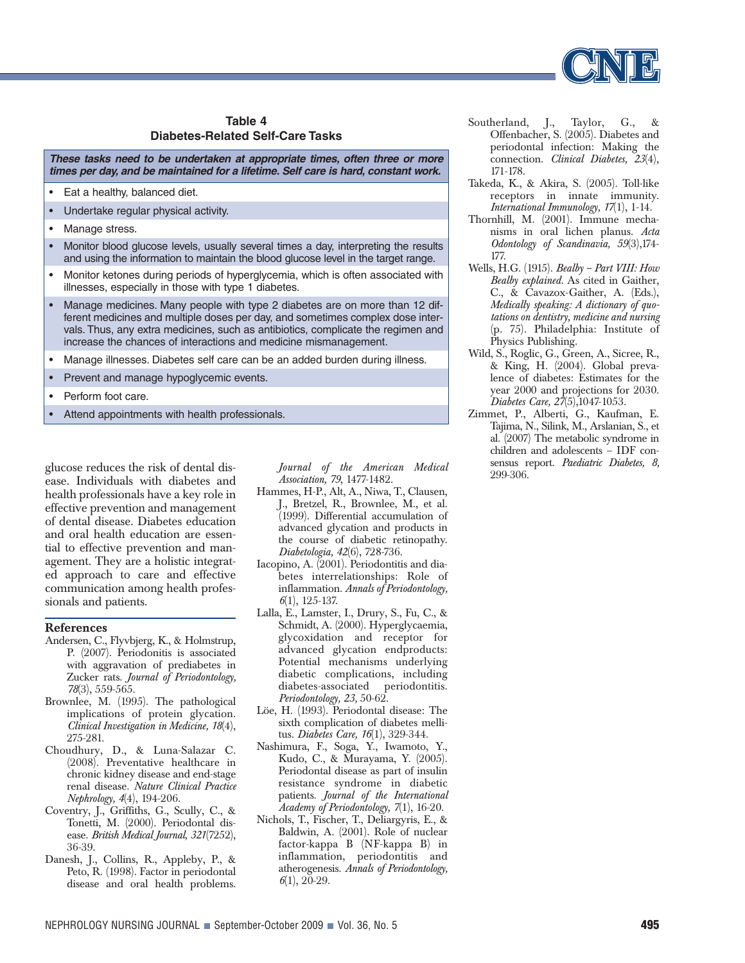

#### **Table 4 Diabetes-Related Self-Care Tasks**

**These tasks need to be undertaken at appropriate times, often three or more times per day, and be maintained for a lifetime. Self care is hard, constant work.**

- Eat a healthy, balanced diet.
- Undertake regular physical activity.
- Manage stress.
- Monitor blood glucose levels, usually several times a day, interpreting the results and using the information to maintain the blood glucose level in the target range.
- Monitor ketones during periods of hyperglycemia, which is often associated with illnesses, especially in those with type 1 diabetes.
- Manage medicines. Many people with type 2 diabetes are on more than 12 different medicines and multiple doses per day, and sometimes complex dose intervals. Thus, any extra medicines, such as antibiotics, complicate the regimen and increase the chances of interactions and medicine mismanagement.
- Manage illnesses. Diabetes self care can be an added burden during illness.
- Prevent and manage hypoglycemic events.
- Perform foot care.
- Attend appointments with health professionals.

glucose reduces the risk of dental disease. Individuals with diabetes and health professionals have a key role in effective prevention and management of dental disease. Diabetes education and oral health education are essential to effective prevention and management. They are a holistic integrated approach to care and effective communication among health professionals and patients.

#### **References**

- Andersen, C., Flyvbjerg, K., & Holmstrup, P. (2007). Periodonitis is associated with aggravation of prediabetes in Zucker rats. *Journal of Periodontology, 78*(3), 559-565.
- Brownlee, M. (1995). The pathological implications of protein glycation. *Clinical Investigation in Medicine, 18*(4), 275-281.
- Choudhury, D., & Luna-Salazar C. (2008). Preventative healthcare in chronic kidney disease and end-stage renal disease. *Nature Clinical Practice Nephrology, 4*(4), 194-206.
- Coventry, J., Griffiths, G., Scully, C., & Tonetti, M. (2000). Periodontal disease. *British Medical Journal, 321*(7252), 36-39.
- Danesh, J., Collins, R., Appleby, P., & Peto, R. (1998). Factor in periodontal disease and oral health problems.

*Journal of the American Medical Association, 79*, 1477-1482.

- Hammes, H-P., Alt, A., Niwa, T., Clausen, J., Bretzel, R., Brownlee, M., et al. (1999). Differential accumulation of advanced glycation and products in the course of diabetic retinopathy. *Diabetologia, 42*(6), 728-736.
- Iacopino, A. (2001). Periodontitis and diabetes interrelationships: Role of inflammation. *Annals of Periodontology, 6*(1), 125-137.
- Lalla, E., Lamster, I., Drury, S., Fu, C., & Schmidt, A. (2000). Hyperglycaemia, glycoxidation and receptor for advanced glycation endproducts: Potential mechanisms underlying diabetic complications, including diabetes-associated periodontitis. *Periodontology, 23,* 50-62.
- Löe, H. (1993). Periodontal disease: The sixth complication of diabetes mellitus. *Diabetes Care, 16*(1), 329-344.
- Nashimura, F., Soga, Y., Iwamoto, Y., Kudo, C., & Murayama, Y. (2005). Periodontal disease as part of insulin resistance syndrome in diabetic patients. *Journal of the International Academy of Periodontology, 7*(1), 16-20.
- Nichols, T., Fischer, T., Deliargyris, E., & Baldwin, A. (2001). Role of nuclear factor-kappa B (NF-kappa B) in inflammation, periodontitis and atherogenesis. *Annals of Periodontology, 6*(1), 20-29.
- Southerland, J., Taylor, G., & Offenbacher, S. (2005). Diabetes and periodontal infection: Making the connection. *Clinical Diabetes, 23*(4), 171-178.
- Takeda, K., & Akira, S. (2005). Toll-like receptors in innate immunity. *International Immunology, 17*(1), 1-14.
- Thornhill, M. (2001). Immune mechanisms in oral lichen planus. *Acta Odontology of Scandinavia, 59*(3),174- 177.
- Wells, H.G. (1915). *Bealby Part VIII: How Bealby explained.* As cited in Gaither, C., & Cavazox-Gaither, A. (Eds.), *Medically speaking: A dictionary of quotations on dentistry, medicine and nursing* (p. 75). Philadelphia: Institute of Physics Publishing.
- Wild, S., Roglic, G., Green, A., Sicree, R., & King, H. (2004). Global prevalence of diabetes: Estimates for the year 2000 and projections for 2030. *Diabetes Care, 27*(5),1047-1053.
- Zimmet, P., Alberti, G., Kaufman, E. Tajima, N., Silink, M., Arslanian, S., et al. (2007) The metabolic syndrome in children and adolescents – IDF consensus report. *Paediatric Diabetes, 8,* 299-306.